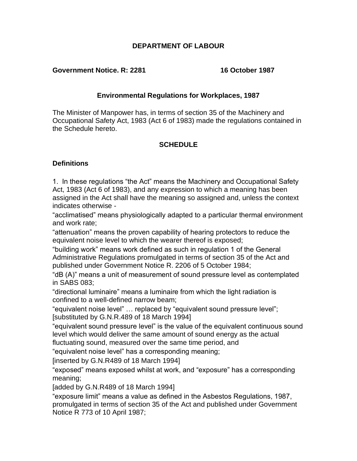## **DEPARTMENT OF LABOUR**

#### **Government Notice. R: 2281 16 October 1987**

## **Environmental Regulations for Workplaces, 1987**

The Minister of Manpower has, in terms of section 35 of the Machinery and Occupational Safety Act, 1983 (Act 6 of 1983) made the regulations contained in the Schedule hereto.

## **SCHEDULE**

## **Definitions**

1. In these regulations "the Act" means the Machinery and Occupational Safety Act, 1983 (Act 6 of 1983), and any expression to which a meaning has been assigned in the Act shall have the meaning so assigned and, unless the context indicates otherwise -

"acclimatised" means physiologically adapted to a particular thermal environment and work rate;

"attenuation" means the proven capability of hearing protectors to reduce the equivalent noise level to which the wearer thereof is exposed;

"building work" means work defined as such in regulation 1 of the General Administrative Regulations promulgated in terms of section 35 of the Act and published under Government Notice R. 2206 of 5 October 1984;

"dB (A)" means a unit of measurement of sound pressure level as contemplated in SABS 083;

"directional luminaire" means a luminaire from which the light radiation is confined to a well-defined narrow beam;

"equivalent noise level" … replaced by "equivalent sound pressure level"; [substituted by G.N.R.489 of 18 March 1994]

"equivalent sound pressure level" is the value of the equivalent continuous sound level which would deliver the same amount of sound energy as the actual fluctuating sound, measured over the same time period, and

"equivalent noise level" has a corresponding meaning;

[inserted by G.N.R489 of 18 March 1994]

"exposed" means exposed whilst at work, and "exposure" has a corresponding meaning;

[added by G.N.R489 of 18 March 1994]

"exposure limit" means a value as defined in the Asbestos Regulations, 1987, promulgated in terms of section 35 of the Act and published under Government Notice R 773 of 10 April 1987;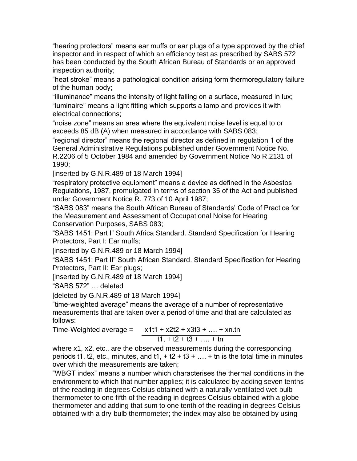"hearing protectors" means ear muffs or ear plugs of a type approved by the chief inspector and in respect of which an efficiency test as prescribed by SABS 572 has been conducted by the South African Bureau of Standards or an approved inspection authority;

"heat stroke" means a pathological condition arising form thermoregulatory failure of the human body;

"illuminance" means the intensity of light falling on a surface, measured in lux; "luminaire" means a light fitting which supports a lamp and provides it with electrical connections;

"noise zone" means an area where the equivalent noise level is equal to or exceeds 85 dB (A) when measured in accordance with SABS 083;

"regional director" means the regional director as defined in regulation 1 of the General Administrative Regulations published under Government Notice No. R.2206 of 5 October 1984 and amended by Government Notice No R.2131 of 1990;

[inserted by G.N.R.489 of 18 March 1994]

"respiratory protective equipment" means a device as defined in the Asbestos Regulations, 1987, promulgated in terms of section 35 of the Act and published under Government Notice R. 773 of 10 April 1987;

"SABS 083" means the South African Bureau of Standards' Code of Practice for the Measurement and Assessment of Occupational Noise for Hearing Conservation Purposes, SABS 083;

"SABS 1451: Part I" South Africa Standard. Standard Specification for Hearing Protectors, Part I: Ear muffs;

[inserted by G.N.R.489 or 18 March 1994]

"SABS 1451: Part II" South African Standard. Standard Specification for Hearing Protectors, Part II: Ear plugs;

[inserted by G.N.R.489 of 18 March 1994]

"SABS 572" … deleted

[deleted by G.N.R.489 of 18 March 1994]

"time-weighted average" means the average of a number of representative measurements that are taken over a period of time and that are calculated as follows:

Time-Weighted average =  $x1t1 + x2t2 + x3t3 + ... + xn.th$  $t1 + t2 + t3 + \ldots + t$ n

where x1, x2, etc., are the observed measurements during the corresponding periods t1, t2, etc., minutes, and t1,  $+$  t2  $+$  t3  $+$  ...  $+$  tn is the total time in minutes over which the measurements are taken;

"WBGT index" means a number which characterises the thermal conditions in the environment to which that number applies; it is calculated by adding seven tenths of the reading in degrees Celsius obtained with a naturally ventilated wet-bulb thermometer to one fifth of the reading in degrees Celsius obtained with a globe thermometer and adding that sum to one tenth of the reading in degrees Celsius obtained with a dry-bulb thermometer; the index may also be obtained by using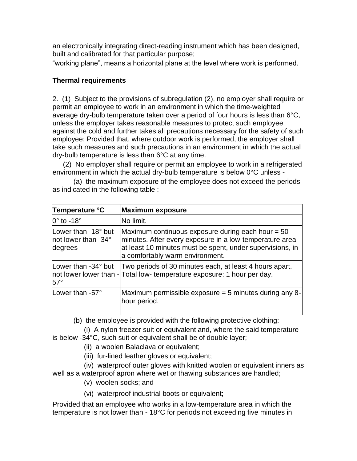an electronically integrating direct-reading instrument which has been designed, built and calibrated for that particular purpose;

"working plane", means a horizontal plane at the level where work is performed.

## **Thermal requirements**

2. (1) Subject to the provisions of subregulation (2), no employer shall require or permit an employee to work in an environment in which the time-weighted average dry-bulb temperature taken over a period of four hours is less than 6°C, unless the employer takes reasonable measures to protect such employee against the cold and further takes all precautions necessary for the safety of such employee: Provided that, where outdoor work is performed, the employer shall take such measures and such precautions in an environment in which the actual dry-bulb temperature is less than 6°C at any time.

(2) No employer shall require or permit an employee to work in a refrigerated environment in which the actual dry-bulb temperature is below 0°C unless -

(a) the maximum exposure of the employee does not exceed the periods as indicated in the following table :

| Temperature °C                                        | <b>Maximum exposure</b>                                                                                                                                                                                        |
|-------------------------------------------------------|----------------------------------------------------------------------------------------------------------------------------------------------------------------------------------------------------------------|
| $ 0^{\circ}$ to -18 $^{\circ}$                        | No limit.                                                                                                                                                                                                      |
| Lower than -18° but<br>not lower than -34°<br>degrees | Maximum continuous exposure during each hour $=$ 50<br>minutes. After every exposure in a low-temperature area<br>at least 10 minutes must be spent, under supervisions, in<br>a comfortably warm environment. |
| Lower than -34° but<br>$57^\circ$                     | Two periods of 30 minutes each, at least 4 hours apart.<br>not lower lower than - Total low- temperature exposure: 1 hour per day.                                                                             |
| Lower than -57°                                       | Maximum permissible exposure $=$ 5 minutes during any 8-<br>hour period.                                                                                                                                       |

(b) the employee is provided with the following protective clothing:

(i) A nylon freezer suit or equivalent and, where the said temperature is below -34°C, such suit or equivalent shall be of double layer;

- (ii) a woolen Balaclava or equivalent;
- (iii) fur-lined leather gloves or equivalent;

(iv) waterproof outer gloves with knitted woolen or equivalent inners as well as a waterproof apron where wet or thawing substances are handled;

- (v) woolen socks; and
- (vi) waterproof industrial boots or equivalent;

Provided that an employee who works in a low-temperature area in which the temperature is not lower than - 18°C for periods not exceeding five minutes in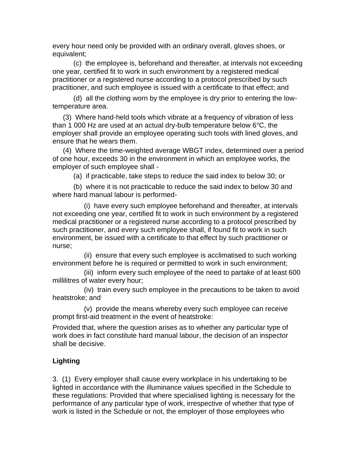every hour need only be provided with an ordinary overall, gloves shoes, or equivalent;

(c) the employee is, beforehand and thereafter, at intervals not exceeding one year, certified fit to work in such environment by a registered medical practitioner or a registered nurse according to a protocol prescribed by such practitioner, and such employee is issued with a certificate to that effect; and

(d) all the clothing worn by the employee is dry prior to entering the lowtemperature area.

(3) Where hand-held tools which vibrate at a frequency of vibration of less than 1 000 Hz are used at an actual dry-bulb temperature below 6°C, the employer shall provide an employee operating such tools with lined gloves, and ensure that he wears them.

(4) Where the time-weighted average WBGT index, determined over a period of one hour, exceeds 30 in the environment in which an employee works, the employer of such employee shall -

(a) if practicable, take steps to reduce the said index to below 30; or

(b) where it is not practicable to reduce the said index to below 30 and where hard manual labour is performed-

(i) have every such employee beforehand and thereafter, at intervals not exceeding one year, certified fit to work in such environment by a registered medical practitioner or a registered nurse according to a protocol prescribed by such practitioner, and every such employee shall, if found fit to work in such environment, be issued with a certificate to that effect by such practitioner or nurse;

(ii) ensure that every such employee is acclimatised to such working environment before he is required or permitted to work in such environment;

(iii) inform every such employee of the need to partake of at least 600 millilitres of water every hour;

(iv) train every such employee in the precautions to be taken to avoid heatstroke; and

(v) provide the means whereby every such employee can receive prompt first-aid treatment in the event of heatstroke:

Provided that, where the question arises as to whether any particular type of work does in fact constitute hard manual labour, the decision of an inspector shall be decisive.

## **Lighting**

3. (1) Every employer shall cause every workplace in his undertaking to be lighted in accordance with the illuminance values specified in the Schedule to these regulations: Provided that where specialised lighting is necessary for the performance of any particular type of work, irrespective of whether that type of work is listed in the Schedule or not, the employer of those employees who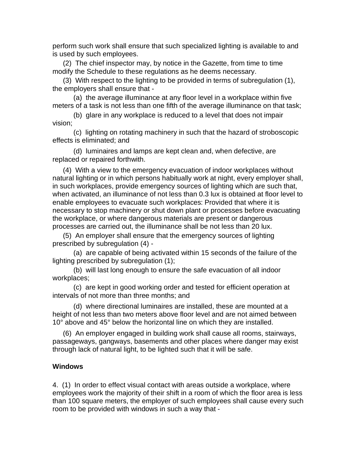perform such work shall ensure that such specialized lighting is available to and is used by such employees.

(2) The chief inspector may, by notice in the Gazette, from time to time modify the Schedule to these regulations as he deems necessary.

(3) With respect to the lighting to be provided in terms of subregulation (1), the employers shall ensure that -

(a) the average illuminance at any floor level in a workplace within five meters of a task is not less than one fifth of the average illuminance on that task;

(b) glare in any workplace is reduced to a level that does not impair vision;

(c) lighting on rotating machinery in such that the hazard of stroboscopic effects is eliminated; and

(d) luminaires and lamps are kept clean and, when defective, are replaced or repaired forthwith.

(4) With a view to the emergency evacuation of indoor workplaces without natural lighting or in which persons habitually work at night, every employer shall, in such workplaces, provide emergency sources of lighting which are such that, when activated, an illuminance of not less than 0.3 lux is obtained at floor level to enable employees to evacuate such workplaces: Provided that where it is necessary to stop machinery or shut down plant or processes before evacuating the workplace, or where dangerous materials are present or dangerous processes are carried out, the illuminance shall be not less than 20 lux.

(5) An employer shall ensure that the emergency sources of lighting prescribed by subregulation (4) -

(a) are capable of being activated within 15 seconds of the failure of the lighting prescribed by subregulation (1);

(b) will last long enough to ensure the safe evacuation of all indoor workplaces;

(c) are kept in good working order and tested for efficient operation at intervals of not more than three months; and

(d) where directional luminaires are installed, these are mounted at a height of not less than two meters above floor level and are not aimed between 10° above and 45° below the horizontal line on which they are installed.

(6) An employer engaged in building work shall cause all rooms, stairways, passageways, gangways, basements and other places where danger may exist through lack of natural light, to be lighted such that it will be safe.

## **Windows**

4. (1) In order to effect visual contact with areas outside a workplace, where employees work the majority of their shift in a room of which the floor area is less than 100 square meters, the employer of such employees shall cause every such room to be provided with windows in such a way that -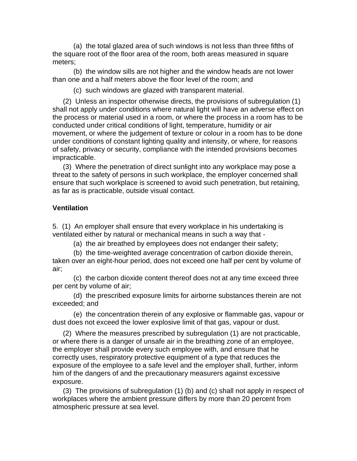(a) the total glazed area of such windows is not less than three fifths of the square root of the floor area of the room, both areas measured in square meters;

(b) the window sills are not higher and the window heads are not lower than one and a half meters above the floor level of the room; and

(c) such windows are glazed with transparent material.

(2) Unless an inspector otherwise directs, the provisions of subregulation (1) shall not apply under conditions where natural light will have an adverse effect on the process or material used in a room, or where the process in a room has to be conducted under critical conditions of light, temperature, humidity or air movement, or where the judgement of texture or colour in a room has to be done under conditions of constant lighting quality and intensity, or where, for reasons of safety, privacy or security, compliance with the intended provisions becomes impracticable.

(3) Where the penetration of direct sunlight into any workplace may pose a threat to the safety of persons in such workplace, the employer concerned shall ensure that such workplace is screened to avoid such penetration, but retaining, as far as is practicable, outside visual contact.

## **Ventilation**

5. (1) An employer shall ensure that every workplace in his undertaking is ventilated either by natural or mechanical means in such a way that -

(a) the air breathed by employees does not endanger their safety;

(b) the time-weighted average concentration of carbon dioxide therein, taken over an eight-hour period, does not exceed one half per cent by volume of air;

(c) the carbon dioxide content thereof does not at any time exceed three per cent by volume of air;

(d) the prescribed exposure limits for airborne substances therein are not exceeded; and

(e) the concentration therein of any explosive or flammable gas, vapour or dust does not exceed the lower explosive limit of that gas, vapour or dust.

(2) Where the measures prescribed by subregulation (1) are not practicable, or where there is a danger of unsafe air in the breathing zone of an employee, the employer shall provide every such employee with, and ensure that he correctly uses, respiratory protective equipment of a type that reduces the exposure of the employee to a safe level and the employer shall, further, inform him of the dangers of and the precautionary measurers against excessive exposure.

(3) The provisions of subregulation (1) (b) and (c) shall not apply in respect of workplaces where the ambient pressure differs by more than 20 percent from atmospheric pressure at sea level.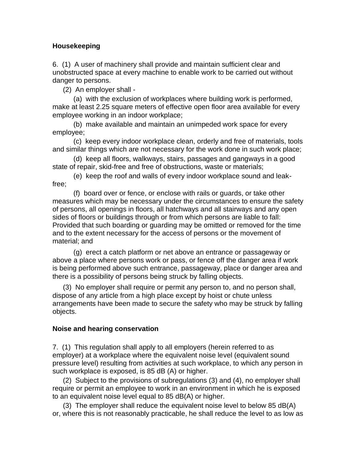## **Housekeeping**

6. (1) A user of machinery shall provide and maintain sufficient clear and unobstructed space at every machine to enable work to be carried out without danger to persons.

(2) An employer shall -

(a) with the exclusion of workplaces where building work is performed, make at least 2.25 square meters of effective open floor area available for every employee working in an indoor workplace;

(b) make available and maintain an unimpeded work space for every employee;

(c) keep every indoor workplace clean, orderly and free of materials, tools and similar things which are not necessary for the work done in such work place;

(d) keep all floors, walkways, stairs, passages and gangways in a good state of repair, skid-free and free of obstructions, waste or materials;

(e) keep the roof and walls of every indoor workplace sound and leakfree;

(f) board over or fence, or enclose with rails or guards, or take other measures which may be necessary under the circumstances to ensure the safety of persons, all openings in floors, all hatchways and all stairways and any open sides of floors or buildings through or from which persons are liable to fall: Provided that such boarding or guarding may be omitted or removed for the time and to the extent necessary for the access of persons or the movement of material; and

(g) erect a catch platform or net above an entrance or passageway or above a place where persons work or pass, or fence off the danger area if work is being performed above such entrance, passageway, place or danger area and there is a possibility of persons being struck by falling objects.

(3) No employer shall require or permit any person to, and no person shall, dispose of any article from a high place except by hoist or chute unless arrangements have been made to secure the safety who may be struck by falling objects.

## **Noise and hearing conservation**

7. (1) This regulation shall apply to all employers (herein referred to as employer) at a workplace where the equivalent noise level (equivalent sound pressure level) resulting from activities at such workplace, to which any person in such workplace is exposed, is 85 dB (A) or higher.

(2) Subject to the provisions of subregulations (3) and (4), no employer shall require or permit an employee to work in an environment in which he is exposed to an equivalent noise level equal to 85 dB(A) or higher.

(3) The employer shall reduce the equivalent noise level to below 85 dB(A) or, where this is not reasonably practicable, he shall reduce the level to as low as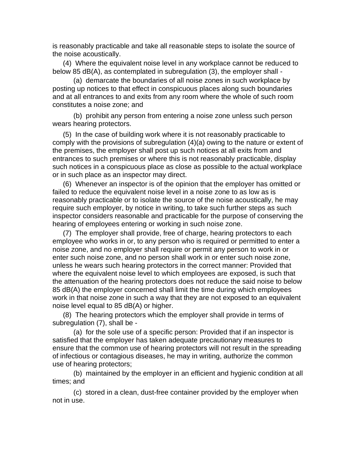is reasonably practicable and take all reasonable steps to isolate the source of the noise acoustically.

(4) Where the equivalent noise level in any workplace cannot be reduced to below 85 dB(A), as contemplated in subregulation (3), the employer shall -

(a) demarcate the boundaries of all noise zones in such workplace by posting up notices to that effect in conspicuous places along such boundaries and at all entrances to and exits from any room where the whole of such room constitutes a noise zone; and

(b) prohibit any person from entering a noise zone unless such person wears hearing protectors.

(5) In the case of building work where it is not reasonably practicable to comply with the provisions of subregulation (4)(a) owing to the nature or extent of the premises, the employer shall post up such notices at all exits from and entrances to such premises or where this is not reasonably practicable, display such notices in a conspicuous place as close as possible to the actual workplace or in such place as an inspector may direct.

(6) Whenever an inspector is of the opinion that the employer has omitted or failed to reduce the equivalent noise level in a noise zone to as low as is reasonably practicable or to isolate the source of the noise acoustically, he may require such employer, by notice in writing, to take such further steps as such inspector considers reasonable and practicable for the purpose of conserving the hearing of employees entering or working in such noise zone.

(7) The employer shall provide, free of charge, hearing protectors to each employee who works in or, to any person who is required or permitted to enter a noise zone, and no employer shall require or permit any person to work in or enter such noise zone, and no person shall work in or enter such noise zone, unless he wears such hearing protectors in the correct manner: Provided that where the equivalent noise level to which employees are exposed, is such that the attenuation of the hearing protectors does not reduce the said noise to below 85 dB(A) the employer concerned shall limit the time during which employees work in that noise zone in such a way that they are not exposed to an equivalent noise level equal to 85 dB(A) or higher.

(8) The hearing protectors which the employer shall provide in terms of subregulation (7), shall be -

(a) for the sole use of a specific person: Provided that if an inspector is satisfied that the employer has taken adequate precautionary measures to ensure that the common use of hearing protectors will not result in the spreading of infectious or contagious diseases, he may in writing, authorize the common use of hearing protectors;

(b) maintained by the employer in an efficient and hygienic condition at all times; and

(c) stored in a clean, dust-free container provided by the employer when not in use.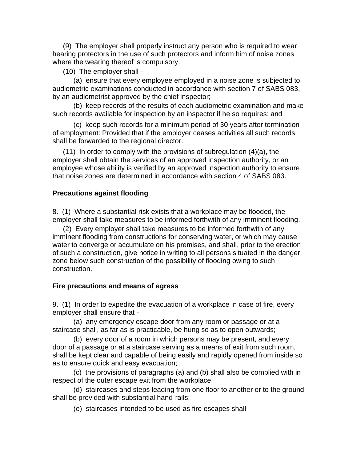(9) The employer shall properly instruct any person who is required to wear hearing protectors in the use of such protectors and inform him of noise zones where the wearing thereof is compulsory.

(10) The employer shall -

(a) ensure that every employee employed in a noise zone is subjected to audiometric examinations conducted in accordance with section 7 of SABS 083, by an audiometrist approved by the chief inspector;

(b) keep records of the results of each audiometric examination and make such records available for inspection by an inspector if he so requires; and

(c) keep such records for a minimum period of 30 years after termination of employment: Provided that if the employer ceases activities all such records shall be forwarded to the regional director.

(11) In order to comply with the provisions of subregulation (4)(a), the employer shall obtain the services of an approved inspection authority, or an employee whose ability is verified by an approved inspection authority to ensure that noise zones are determined in accordance with section 4 of SABS 083.

## **Precautions against flooding**

8. (1) Where a substantial risk exists that a workplace may be flooded, the employer shall take measures to be informed forthwith of any imminent flooding.

(2) Every employer shall take measures to be informed forthwith of any imminent flooding from constructions for conserving water, or which may cause water to converge or accumulate on his premises, and shall, prior to the erection of such a construction, give notice in writing to all persons situated in the danger zone below such construction of the possibility of flooding owing to such construction.

## **Fire precautions and means of egress**

9. (1) In order to expedite the evacuation of a workplace in case of fire, every employer shall ensure that -

(a) any emergency escape door from any room or passage or at a staircase shall, as far as is practicable, be hung so as to open outwards;

(b) every door of a room in which persons may be present, and every door of a passage or at a staircase serving as a means of exit from such room, shall be kept clear and capable of being easily and rapidly opened from inside so as to ensure quick and easy evacuation;

(c) the provisions of paragraphs (a) and (b) shall also be complied with in respect of the outer escape exit from the workplace;

(d) staircases and steps leading from one floor to another or to the ground shall be provided with substantial hand-rails;

(e) staircases intended to be used as fire escapes shall -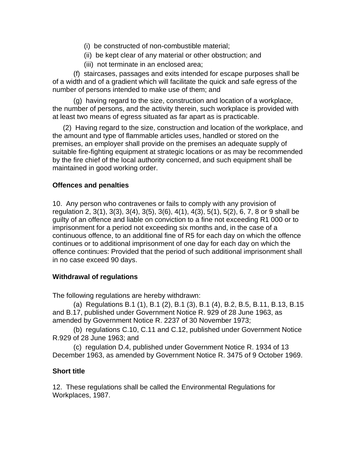- (i) be constructed of non-combustible material;
- (ii) be kept clear of any material or other obstruction; and
- (iii) not terminate in an enclosed area;

(f) staircases, passages and exits intended for escape purposes shall be of a width and of a gradient which will facilitate the quick and safe egress of the number of persons intended to make use of them; and

(g) having regard to the size, construction and location of a workplace, the number of persons, and the activity therein, such workplace is provided with at least two means of egress situated as far apart as is practicable.

(2) Having regard to the size, construction and location of the workplace, and the amount and type of flammable articles uses, handled or stored on the premises, an employer shall provide on the premises an adequate supply of suitable fire-fighting equipment at strategic locations or as may be recommended by the fire chief of the local authority concerned, and such equipment shall be maintained in good working order.

## **Offences and penalties**

10. Any person who contravenes or fails to comply with any provision of regulation 2, 3(1), 3(3), 3(4), 3(5), 3(6), 4(1), 4(3), 5(1), 5(2), 6, 7, 8 or 9 shall be guilty of an offence and liable on conviction to a fine not exceeding R1 000 or to imprisonment for a period not exceeding six months and, in the case of a continuous offence, to an additional fine of R5 for each day on which the offence continues or to additional imprisonment of one day for each day on which the offence continues: Provided that the period of such additional imprisonment shall in no case exceed 90 days.

## **Withdrawal of regulations**

The following regulations are hereby withdrawn:

(a) Regulations B.1 (1), B.1 (2), B.1 (3), B.1 (4), B.2, B.5, B.11, B.13, B.15 and B.17, published under Government Notice R. 929 of 28 June 1963, as amended by Government Notice R. 2237 of 30 November 1973;

(b) regulations C.10, C.11 and C.12, published under Government Notice R.929 of 28 June 1963; and

(c) regulation D.4, published under Government Notice R. 1934 of 13 December 1963, as amended by Government Notice R. 3475 of 9 October 1969.

## **Short title**

12. These regulations shall be called the Environmental Regulations for Workplaces, 1987.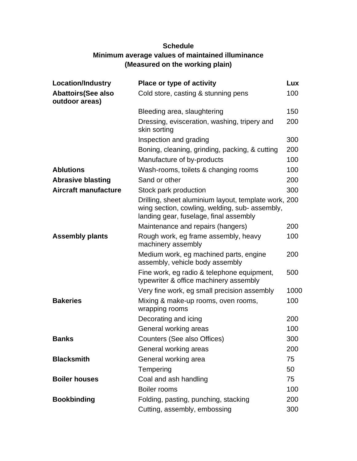# **Schedule Minimum average values of maintained illuminance (Measured on the working plain)**

| <b>Location/Industry</b>                     | Place or type of activity                                                                                                                        | Lux        |
|----------------------------------------------|--------------------------------------------------------------------------------------------------------------------------------------------------|------------|
| <b>Abattoirs (See also</b><br>outdoor areas) | Cold store, casting & stunning pens                                                                                                              | 100        |
|                                              | Bleeding area, slaughtering                                                                                                                      | 150        |
|                                              | Dressing, evisceration, washing, tripery and<br>skin sorting                                                                                     | 200        |
|                                              | Inspection and grading                                                                                                                           | 300        |
|                                              | Boning, cleaning, grinding, packing, & cutting<br>Manufacture of by-products                                                                     | 200<br>100 |
| <b>Ablutions</b>                             | Wash-rooms, toilets & changing rooms                                                                                                             | 100        |
| <b>Abrasive blasting</b>                     | Sand or other                                                                                                                                    | 200        |
| <b>Aircraft manufacture</b>                  | Stock park production                                                                                                                            | 300        |
|                                              | Drilling, sheet aluminium layout, template work, 200<br>wing section, cowling, welding, sub- assembly,<br>landing gear, fuselage, final assembly |            |
|                                              | Maintenance and repairs (hangers)                                                                                                                | 200        |
| <b>Assembly plants</b>                       | Rough work, eg frame assembly, heavy<br>machinery assembly                                                                                       | 100        |
|                                              | Medium work, eg machined parts, engine<br>assembly, vehicle body assembly                                                                        | 200        |
|                                              | Fine work, eg radio & telephone equipment,<br>typewriter & office machinery assembly                                                             | 500        |
|                                              | Very fine work, eg small precision assembly                                                                                                      | 1000       |
| <b>Bakeries</b>                              | Mixing & make-up rooms, oven rooms,<br>wrapping rooms                                                                                            | 100        |
|                                              | Decorating and icing                                                                                                                             | 200        |
|                                              | General working areas                                                                                                                            | 100        |
| <b>Banks</b>                                 | Counters (See also Offices)                                                                                                                      | 300        |
|                                              | General working areas                                                                                                                            | 200        |
| <b>Blacksmith</b>                            | General working area                                                                                                                             | 75         |
|                                              | Tempering                                                                                                                                        | 50         |
| <b>Boiler houses</b>                         | Coal and ash handling                                                                                                                            | 75         |
|                                              | Boiler rooms                                                                                                                                     | 100        |
| <b>Bookbinding</b>                           | Folding, pasting, punching, stacking                                                                                                             | 200        |
|                                              | Cutting, assembly, embossing                                                                                                                     | 300        |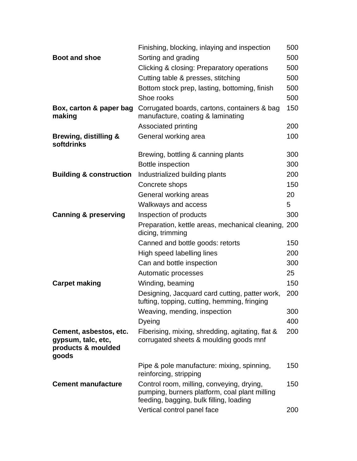|                                                                             | Finishing, blocking, inlaying and inspection                                                                                          | 500 |
|-----------------------------------------------------------------------------|---------------------------------------------------------------------------------------------------------------------------------------|-----|
| <b>Boot and shoe</b>                                                        | Sorting and grading                                                                                                                   | 500 |
|                                                                             | Clicking & closing: Preparatory operations                                                                                            | 500 |
|                                                                             | Cutting table & presses, stitching                                                                                                    | 500 |
|                                                                             | Bottom stock prep, lasting, bottoming, finish                                                                                         | 500 |
|                                                                             | Shoe rooks                                                                                                                            | 500 |
| Box, carton & paper bag<br>making                                           | Corrugated boards, cartons, containers & bag<br>manufacture, coating & laminating                                                     | 150 |
|                                                                             | Associated printing                                                                                                                   | 200 |
| <b>Brewing, distilling &amp;</b><br>softdrinks                              | General working area                                                                                                                  | 100 |
|                                                                             | Brewing, bottling & canning plants                                                                                                    | 300 |
|                                                                             | <b>Bottle inspection</b>                                                                                                              | 300 |
| <b>Building &amp; construction</b>                                          | Industrialized building plants                                                                                                        | 200 |
|                                                                             | Concrete shops                                                                                                                        | 150 |
|                                                                             | General working areas                                                                                                                 | 20  |
|                                                                             | Walkways and access                                                                                                                   | 5   |
| <b>Canning &amp; preserving</b>                                             | Inspection of products                                                                                                                | 300 |
|                                                                             | Preparation, kettle areas, mechanical cleaning, 200<br>dicing, trimming                                                               |     |
|                                                                             | Canned and bottle goods: retorts                                                                                                      | 150 |
|                                                                             | High speed labelling lines                                                                                                            | 200 |
|                                                                             | Can and bottle inspection                                                                                                             | 300 |
|                                                                             | Automatic processes                                                                                                                   | 25  |
| <b>Carpet making</b>                                                        | Winding, beaming                                                                                                                      | 150 |
|                                                                             | Designing, Jacquard card cutting, patter work,<br>tufting, topping, cutting, hemming, fringing                                        | 200 |
|                                                                             | Weaving, mending, inspection                                                                                                          | 300 |
|                                                                             | Dyeing                                                                                                                                | 400 |
| Cement, asbestos, etc.<br>gypsum, talc, etc,<br>products & moulded<br>goods | Fiberising, mixing, shredding, agitating, flat &<br>corrugated sheets & moulding goods mnf                                            | 200 |
|                                                                             | Pipe & pole manufacture: mixing, spinning,<br>reinforcing, stripping                                                                  | 150 |
| <b>Cement manufacture</b>                                                   | Control room, milling, conveying, drying,<br>pumping, burners platform, coal plant milling<br>feeding, bagging, bulk filling, loading | 150 |
|                                                                             | Vertical control panel face                                                                                                           | 200 |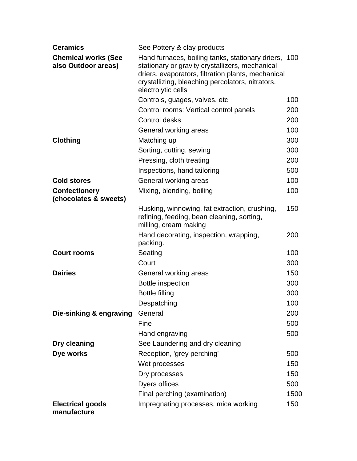| <b>Ceramics</b>                                   | See Pottery & clay products                                                                                                                                                                                                             |      |
|---------------------------------------------------|-----------------------------------------------------------------------------------------------------------------------------------------------------------------------------------------------------------------------------------------|------|
| <b>Chemical works (See</b><br>also Outdoor areas) | Hand furnaces, boiling tanks, stationary driers, 100<br>stationary or gravity crystallizers, mechanical<br>driers, evaporators, filtration plants, mechanical<br>crystallizing, bleaching percolators, nitrators,<br>electrolytic cells |      |
|                                                   | Controls, guages, valves, etc.                                                                                                                                                                                                          | 100  |
|                                                   | Control rooms: Vertical control panels                                                                                                                                                                                                  | 200  |
|                                                   | Control desks                                                                                                                                                                                                                           | 200  |
|                                                   | General working areas                                                                                                                                                                                                                   | 100  |
| <b>Clothing</b>                                   | Matching up                                                                                                                                                                                                                             | 300  |
|                                                   | Sorting, cutting, sewing                                                                                                                                                                                                                | 300  |
|                                                   | Pressing, cloth treating                                                                                                                                                                                                                | 200  |
|                                                   | Inspections, hand tailoring                                                                                                                                                                                                             | 500  |
| <b>Cold stores</b>                                | General working areas                                                                                                                                                                                                                   | 100  |
| <b>Confectionery</b><br>(chocolates & sweets)     | Mixing, blending, boiling                                                                                                                                                                                                               | 100  |
|                                                   | Husking, winnowing, fat extraction, crushing,<br>refining, feeding, bean cleaning, sorting,<br>milling, cream making                                                                                                                    | 150  |
|                                                   | Hand decorating, inspection, wrapping,<br>packing.                                                                                                                                                                                      | 200  |
| <b>Court rooms</b>                                | Seating                                                                                                                                                                                                                                 | 100  |
|                                                   | Court                                                                                                                                                                                                                                   | 300  |
| <b>Dairies</b>                                    | General working areas                                                                                                                                                                                                                   | 150  |
|                                                   | Bottle inspection                                                                                                                                                                                                                       | 300  |
|                                                   | <b>Bottle filling</b>                                                                                                                                                                                                                   | 300  |
|                                                   | Despatching                                                                                                                                                                                                                             | 100  |
| Die-sinking & engraving                           | General                                                                                                                                                                                                                                 | 200  |
|                                                   | Fine                                                                                                                                                                                                                                    | 500  |
|                                                   | Hand engraving                                                                                                                                                                                                                          | 500  |
| Dry cleaning                                      | See Laundering and dry cleaning                                                                                                                                                                                                         |      |
| Dye works                                         | Reception, 'grey perching'                                                                                                                                                                                                              | 500  |
|                                                   | Wet processes                                                                                                                                                                                                                           | 150  |
|                                                   | Dry processes                                                                                                                                                                                                                           | 150  |
|                                                   | Dyers offices                                                                                                                                                                                                                           | 500  |
|                                                   | Final perching (examination)                                                                                                                                                                                                            | 1500 |
| <b>Electrical goods</b><br>manufacture            | Impregnating processes, mica working                                                                                                                                                                                                    | 150  |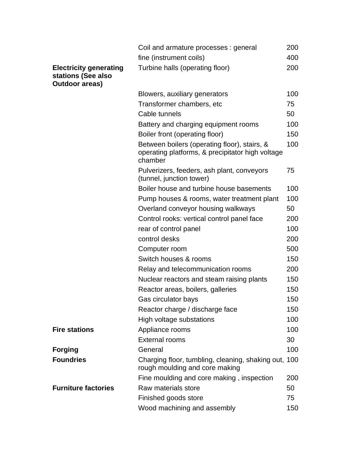|                                                                              | Coil and armature processes: general                                                                        | 200 |
|------------------------------------------------------------------------------|-------------------------------------------------------------------------------------------------------------|-----|
|                                                                              | fine (instrument coils)                                                                                     | 400 |
| <b>Electricity generating</b><br>stations (See also<br><b>Outdoor areas)</b> | Turbine halls (operating floor)                                                                             | 200 |
|                                                                              | Blowers, auxiliary generators                                                                               | 100 |
|                                                                              | Transformer chambers, etc                                                                                   | 75  |
|                                                                              | Cable tunnels                                                                                               | 50  |
|                                                                              | Battery and charging equipment rooms                                                                        | 100 |
|                                                                              | Boiler front (operating floor)                                                                              | 150 |
|                                                                              | Between boilers (operating floor), stairs, &<br>operating platforms, & precipitator high voltage<br>chamber | 100 |
|                                                                              | Pulverizers, feeders, ash plant, conveyors<br>(tunnel, junction tower)                                      | 75  |
|                                                                              | Boiler house and turbine house basements                                                                    | 100 |
|                                                                              | Pump houses & rooms, water treatment plant                                                                  | 100 |
|                                                                              | Overland conveyor housing walkways                                                                          | 50  |
|                                                                              | Control rooks: vertical control panel face                                                                  | 200 |
|                                                                              | rear of control panel                                                                                       | 100 |
|                                                                              | control desks                                                                                               | 200 |
|                                                                              | Computer room                                                                                               | 500 |
|                                                                              | Switch houses & rooms                                                                                       | 150 |
|                                                                              | Relay and telecommunication rooms                                                                           | 200 |
|                                                                              | Nuclear reactors and steam raising plants                                                                   | 150 |
|                                                                              | Reactor areas, boilers, galleries                                                                           | 150 |
|                                                                              | Gas circulator bays                                                                                         | 150 |
|                                                                              | Reactor charge / discharge face                                                                             | 150 |
|                                                                              | High voltage substations                                                                                    | 100 |
| <b>Fire stations</b>                                                         | Appliance rooms                                                                                             | 100 |
|                                                                              | <b>External rooms</b>                                                                                       | 30  |
| <b>Forging</b>                                                               | General                                                                                                     | 100 |
| <b>Foundries</b>                                                             | Charging floor, tumbling, cleaning, shaking out, 100<br>rough moulding and core making                      |     |
|                                                                              | Fine moulding and core making, inspection                                                                   | 200 |
| <b>Furniture factories</b>                                                   | Raw materials store                                                                                         | 50  |
|                                                                              | Finished goods store                                                                                        | 75  |
|                                                                              | Wood machining and assembly                                                                                 | 150 |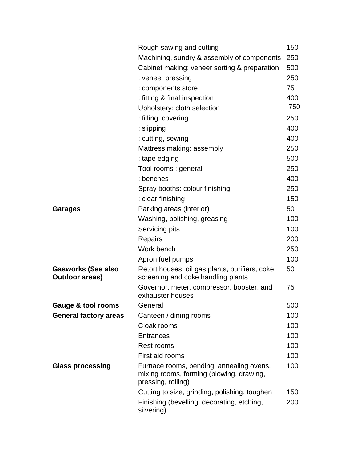|                                             | Rough sawing and cutting                                                                                   | 150 |
|---------------------------------------------|------------------------------------------------------------------------------------------------------------|-----|
|                                             | Machining, sundry & assembly of components                                                                 | 250 |
|                                             | Cabinet making: veneer sorting & preparation                                                               | 500 |
|                                             | : veneer pressing                                                                                          | 250 |
|                                             | : components store                                                                                         | 75  |
|                                             | : fitting & final inspection                                                                               | 400 |
|                                             | Upholstery: cloth selection                                                                                | 750 |
|                                             | : filling, covering                                                                                        | 250 |
|                                             | : slipping                                                                                                 | 400 |
|                                             | : cutting, sewing                                                                                          | 400 |
|                                             | Mattress making: assembly                                                                                  | 250 |
|                                             | : tape edging                                                                                              | 500 |
|                                             | Tool rooms : general                                                                                       | 250 |
|                                             | : benches                                                                                                  | 400 |
|                                             | Spray booths: colour finishing                                                                             | 250 |
|                                             | : clear finishing                                                                                          | 150 |
| <b>Garages</b>                              | Parking areas (interior)                                                                                   | 50  |
|                                             | Washing, polishing, greasing                                                                               | 100 |
|                                             | Servicing pits                                                                                             | 100 |
|                                             | Repairs                                                                                                    | 200 |
|                                             | Work bench                                                                                                 | 250 |
|                                             | Apron fuel pumps                                                                                           | 100 |
| <b>Gasworks (See also</b><br>Outdoor areas) | Retort houses, oil gas plants, purifiers, coke<br>screening and coke handling plants                       | 50  |
|                                             | Governor, meter, compressor, booster, and<br>exhauster houses                                              | 75  |
| Gauge & tool rooms                          | General                                                                                                    | 500 |
| <b>General factory areas</b>                | Canteen / dining rooms                                                                                     | 100 |
|                                             | Cloak rooms                                                                                                | 100 |
|                                             | <b>Entrances</b>                                                                                           | 100 |
|                                             | Rest rooms                                                                                                 | 100 |
|                                             | First aid rooms                                                                                            | 100 |
| <b>Glass processing</b>                     | Furnace rooms, bending, annealing ovens,<br>mixing rooms, forming (blowing, drawing,<br>pressing, rolling) | 100 |
|                                             | Cutting to size, grinding, polishing, toughen                                                              | 150 |
|                                             | Finishing (bevelling, decorating, etching,<br>silvering)                                                   | 200 |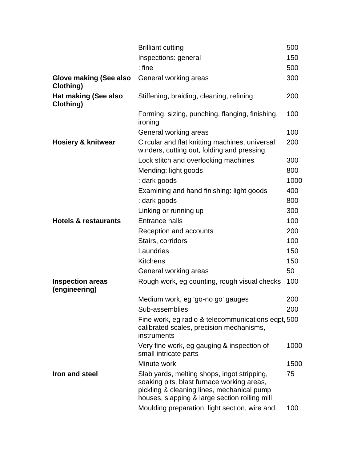|                                          | <b>Brilliant cutting</b>                                                                                                                                                                 | 500  |
|------------------------------------------|------------------------------------------------------------------------------------------------------------------------------------------------------------------------------------------|------|
|                                          | Inspections: general                                                                                                                                                                     | 150  |
|                                          | $:$ fine                                                                                                                                                                                 | 500  |
| Glove making (See also<br>Clothing)      | General working areas                                                                                                                                                                    | 300  |
| <b>Hat making (See also</b><br>Clothing) | Stiffening, braiding, cleaning, refining                                                                                                                                                 | 200  |
|                                          | Forming, sizing, punching, flanging, finishing,<br>ironing                                                                                                                               | 100  |
|                                          | General working areas                                                                                                                                                                    | 100  |
| <b>Hosiery &amp; knitwear</b>            | Circular and flat knitting machines, universal<br>winders, cutting out, folding and pressing                                                                                             | 200  |
|                                          | Lock stitch and overlocking machines                                                                                                                                                     | 300  |
|                                          | Mending: light goods                                                                                                                                                                     | 800  |
|                                          | : dark goods                                                                                                                                                                             | 1000 |
|                                          | Examining and hand finishing: light goods                                                                                                                                                | 400  |
|                                          | : dark goods                                                                                                                                                                             | 800  |
|                                          | Linking or running up                                                                                                                                                                    | 300  |
| <b>Hotels &amp; restaurants</b>          | <b>Entrance halls</b>                                                                                                                                                                    | 100  |
|                                          | Reception and accounts                                                                                                                                                                   | 200  |
|                                          | Stairs, corridors                                                                                                                                                                        | 100  |
|                                          | Laundries                                                                                                                                                                                | 150  |
|                                          | <b>Kitchens</b>                                                                                                                                                                          | 150  |
|                                          | General working areas                                                                                                                                                                    | 50   |
| <b>Inspection areas</b><br>(engineering) | Rough work, eg counting, rough visual checks                                                                                                                                             | 100  |
|                                          | Medium work, eg 'go-no go' gauges                                                                                                                                                        | 200  |
|                                          | Sub-assemblies                                                                                                                                                                           | 200  |
|                                          | Fine work, eg radio & telecommunications eqpt, 500<br>calibrated scales, precision mechanisms,<br>instruments                                                                            |      |
|                                          | Very fine work, eg gauging & inspection of<br>small intricate parts                                                                                                                      | 1000 |
|                                          | Minute work                                                                                                                                                                              | 1500 |
| Iron and steel                           | Slab yards, melting shops, ingot stripping,<br>soaking pits, blast furnace working areas,<br>pickling & cleaning lines, mechanical pump<br>houses, slapping & large section rolling mill | 75   |
|                                          | Moulding preparation, light section, wire and                                                                                                                                            | 100  |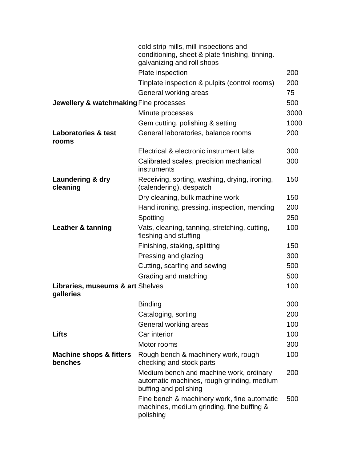|                                               | cold strip mills, mill inspections and<br>conditioning, sheet & plate finishing, tinning.<br>galvanizing and roll shops |      |
|-----------------------------------------------|-------------------------------------------------------------------------------------------------------------------------|------|
|                                               | Plate inspection                                                                                                        | 200  |
|                                               | Tinplate inspection & pulpits (control rooms)                                                                           | 200  |
|                                               | General working areas                                                                                                   | 75   |
| Jewellery & watchmaking Fine processes        |                                                                                                                         | 500  |
|                                               | Minute processes                                                                                                        | 3000 |
|                                               | Gem cutting, polishing & setting                                                                                        | 1000 |
| <b>Laboratories &amp; test</b><br>rooms       | General laboratories, balance rooms                                                                                     | 200  |
|                                               | Electrical & electronic instrument labs                                                                                 | 300  |
|                                               | Calibrated scales, precision mechanical<br>instruments                                                                  | 300  |
| Laundering & dry<br>cleaning                  | Receiving, sorting, washing, drying, ironing,<br>(calendering), despatch                                                | 150  |
|                                               | Dry cleaning, bulk machine work                                                                                         | 150  |
|                                               | Hand ironing, pressing, inspection, mending                                                                             | 200  |
|                                               | Spotting                                                                                                                | 250  |
| Leather & tanning                             | Vats, cleaning, tanning, stretching, cutting,<br>fleshing and stuffing                                                  | 100  |
|                                               | Finishing, staking, splitting                                                                                           | 150  |
|                                               | Pressing and glazing                                                                                                    | 300  |
|                                               | Cutting, scarfing and sewing                                                                                            | 500  |
|                                               | Grading and matching                                                                                                    | 500  |
| Libraries, museums & art Shelves<br>galleries |                                                                                                                         | 100  |
|                                               | <b>Binding</b>                                                                                                          | 300  |
|                                               | Cataloging, sorting                                                                                                     | 200  |
|                                               | General working areas                                                                                                   | 100  |
| Lifts                                         | Car interior                                                                                                            | 100  |
|                                               | Motor rooms                                                                                                             | 300  |
| <b>Machine shops &amp; fitters</b><br>benches | Rough bench & machinery work, rough<br>checking and stock parts                                                         | 100  |
|                                               | Medium bench and machine work, ordinary<br>automatic machines, rough grinding, medium<br>buffing and polishing          | 200  |
|                                               | Fine bench & machinery work, fine automatic<br>machines, medium grinding, fine buffing &<br>polishing                   | 500  |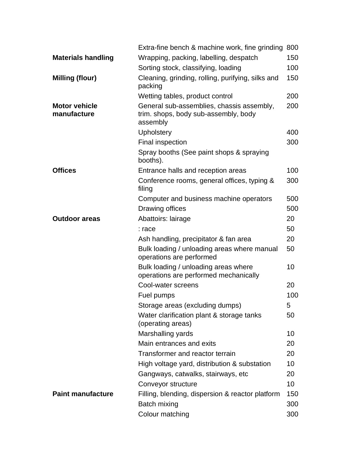|                                     | Extra-fine bench & machine work, fine grinding                                                | 800 |
|-------------------------------------|-----------------------------------------------------------------------------------------------|-----|
| <b>Materials handling</b>           | Wrapping, packing, labelling, despatch                                                        | 150 |
|                                     | Sorting stock, classifying, loading                                                           | 100 |
| <b>Milling (flour)</b>              | Cleaning, grinding, rolling, purifying, silks and<br>packing                                  | 150 |
|                                     | Wetting tables, product control                                                               | 200 |
| <b>Motor vehicle</b><br>manufacture | General sub-assemblies, chassis assembly,<br>trim. shops, body sub-assembly, body<br>assembly | 200 |
|                                     | <b>Upholstery</b>                                                                             | 400 |
|                                     | <b>Final inspection</b>                                                                       | 300 |
|                                     | Spray booths (See paint shops & spraying<br>booths).                                          |     |
| <b>Offices</b>                      | Entrance halls and reception areas                                                            | 100 |
|                                     | Conference rooms, general offices, typing &<br>filing                                         | 300 |
|                                     | Computer and business machine operators                                                       | 500 |
|                                     | Drawing offices                                                                               | 500 |
| <b>Outdoor areas</b>                | Abattoirs: lairage                                                                            | 20  |
|                                     | : race                                                                                        | 50  |
|                                     | Ash handling, precipitator & fan area                                                         | 20  |
|                                     | Bulk loading / unloading areas where manual<br>operations are performed                       | 50  |
|                                     | Bulk loading / unloading areas where<br>operations are performed mechanically                 | 10  |
|                                     | Cool-water screens                                                                            | 20  |
|                                     | Fuel pumps                                                                                    | 100 |
|                                     | Storage areas (excluding dumps)                                                               | 5   |
|                                     | Water clarification plant & storage tanks<br>(operating areas)                                | 50  |
|                                     | Marshalling yards                                                                             | 10  |
|                                     | Main entrances and exits                                                                      | 20  |
|                                     | Transformer and reactor terrain                                                               | 20  |
|                                     | High voltage yard, distribution & substation                                                  | 10  |
|                                     | Gangways, catwalks, stairways, etc                                                            | 20  |
|                                     | Conveyor structure                                                                            | 10  |
| <b>Paint manufacture</b>            | Filling, blending, dispersion & reactor platform                                              | 150 |
|                                     | Batch mixing                                                                                  | 300 |
|                                     | Colour matching                                                                               | 300 |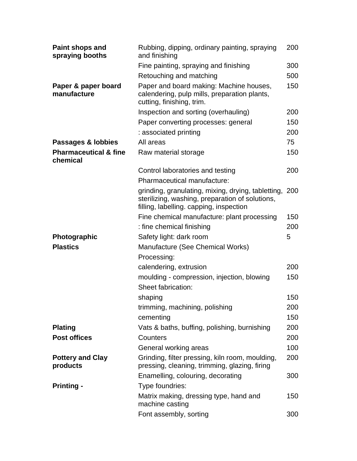| Paint shops and<br>spraying booths           | Rubbing, dipping, ordinary painting, spraying<br>and finishing                                                                                       | 200 |
|----------------------------------------------|------------------------------------------------------------------------------------------------------------------------------------------------------|-----|
|                                              | Fine painting, spraying and finishing                                                                                                                | 300 |
|                                              | Retouching and matching                                                                                                                              | 500 |
| Paper & paper board<br>manufacture           | Paper and board making: Machine houses,<br>calendering, pulp mills, preparation plants,<br>cutting, finishing, trim.                                 | 150 |
|                                              | Inspection and sorting (overhauling)                                                                                                                 | 200 |
|                                              | Paper converting processes: general                                                                                                                  | 150 |
|                                              | : associated printing                                                                                                                                | 200 |
| Passages & lobbies                           | All areas                                                                                                                                            | 75  |
| <b>Pharmaceutical &amp; fine</b><br>chemical | Raw material storage                                                                                                                                 | 150 |
|                                              | Control laboratories and testing                                                                                                                     | 200 |
|                                              | Pharmaceutical manufacture:                                                                                                                          |     |
|                                              | grinding, granulating, mixing, drying, tabletting, 200<br>sterilizing, washing, preparation of solutions,<br>filling, labelling. capping, inspection |     |
|                                              | Fine chemical manufacture: plant processing                                                                                                          | 150 |
|                                              | : fine chemical finishing                                                                                                                            | 200 |
| <b>Photographic</b>                          | Safety light: dark room                                                                                                                              | 5   |
| <b>Plastics</b>                              | Manufacture (See Chemical Works)                                                                                                                     |     |
|                                              | Processing:                                                                                                                                          |     |
|                                              | calendering, extrusion                                                                                                                               | 200 |
|                                              | moulding - compression, injection, blowing<br>Sheet fabrication:                                                                                     | 150 |
|                                              | shaping                                                                                                                                              | 150 |
|                                              | trimming, machining, polishing                                                                                                                       | 200 |
|                                              | cementing                                                                                                                                            | 150 |
| <b>Plating</b>                               | Vats & baths, buffing, polishing, burnishing                                                                                                         | 200 |
| <b>Post offices</b>                          | Counters                                                                                                                                             | 200 |
|                                              | General working areas                                                                                                                                | 100 |
| <b>Pottery and Clay</b><br>products          | Grinding, filter pressing, kiln room, moulding,<br>pressing, cleaning, trimming, glazing, firing                                                     | 200 |
| <b>Printing -</b>                            | Enamelling, colouring, decorating<br>Type foundries:                                                                                                 | 300 |
|                                              | Matrix making, dressing type, hand and<br>machine casting                                                                                            | 150 |
|                                              | Font assembly, sorting                                                                                                                               | 300 |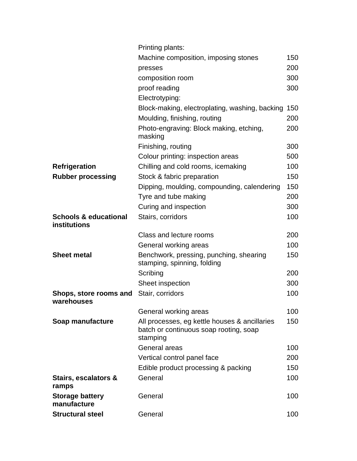|                                                  | Printing plants:                                                                                    |     |
|--------------------------------------------------|-----------------------------------------------------------------------------------------------------|-----|
|                                                  | Machine composition, imposing stones                                                                | 150 |
|                                                  | presses                                                                                             | 200 |
|                                                  | composition room                                                                                    | 300 |
|                                                  | proof reading                                                                                       | 300 |
|                                                  | Electrotyping:                                                                                      |     |
|                                                  | Block-making, electroplating, washing, backing                                                      | 150 |
|                                                  | Moulding, finishing, routing                                                                        | 200 |
|                                                  | Photo-engraving: Block making, etching,<br>masking                                                  | 200 |
|                                                  | Finishing, routing                                                                                  | 300 |
|                                                  | Colour printing: inspection areas                                                                   | 500 |
| <b>Refrigeration</b>                             | Chilling and cold rooms, icemaking                                                                  | 100 |
| <b>Rubber processing</b>                         | Stock & fabric preparation                                                                          | 150 |
|                                                  | Dipping, moulding, compounding, calendering                                                         | 150 |
|                                                  | Tyre and tube making                                                                                | 200 |
|                                                  | Curing and inspection                                                                               | 300 |
| <b>Schools &amp; educational</b><br>institutions | Stairs, corridors                                                                                   | 100 |
|                                                  | Class and lecture rooms                                                                             | 200 |
|                                                  | General working areas                                                                               | 100 |
| <b>Sheet metal</b>                               | Benchwork, pressing, punching, shearing<br>stamping, spinning, folding                              | 150 |
|                                                  | Scribing                                                                                            | 200 |
|                                                  | Sheet inspection                                                                                    | 300 |
| Shops, store rooms and<br>warehouses             | Stair, corridors                                                                                    | 100 |
|                                                  | General working areas                                                                               | 100 |
| Soap manufacture                                 | All processes, eg kettle houses & ancillaries<br>batch or continuous soap rooting, soap<br>stamping | 150 |
|                                                  | <b>General areas</b>                                                                                | 100 |
|                                                  | Vertical control panel face                                                                         | 200 |
|                                                  | Edible product processing & packing                                                                 | 150 |
| Stairs, escalators &<br>ramps                    | General                                                                                             | 100 |
| <b>Storage battery</b><br>manufacture            | General                                                                                             | 100 |
| <b>Structural steel</b>                          | General                                                                                             | 100 |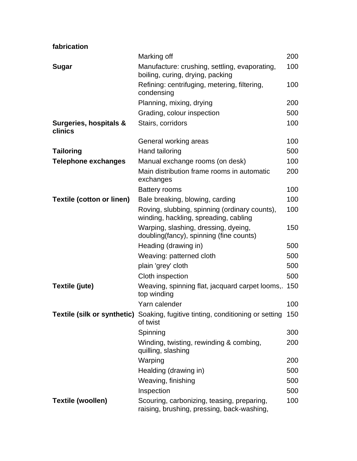|                                   | Marking off                                                                                    | 200 |
|-----------------------------------|------------------------------------------------------------------------------------------------|-----|
| <b>Sugar</b>                      | Manufacture: crushing, settling, evaporating,<br>boiling, curing, drying, packing              | 100 |
|                                   | Refining: centrifuging, metering, filtering,<br>condensing                                     | 100 |
|                                   | Planning, mixing, drying                                                                       | 200 |
|                                   | Grading, colour inspection                                                                     | 500 |
| Surgeries, hospitals &<br>clinics | Stairs, corridors                                                                              | 100 |
|                                   | General working areas                                                                          | 100 |
| <b>Tailoring</b>                  | Hand tailoring                                                                                 | 500 |
| <b>Telephone exchanges</b>        | Manual exchange rooms (on desk)                                                                | 100 |
|                                   | Main distribution frame rooms in automatic<br>exchanges                                        | 200 |
|                                   | <b>Battery rooms</b>                                                                           | 100 |
| <b>Textile (cotton or linen)</b>  | Bale breaking, blowing, carding                                                                | 100 |
|                                   | Roving, slubbing, spinning (ordinary counts),<br>winding, hackling, spreading, cabling         | 100 |
|                                   | Warping, slashing, dressing, dyeing,<br>doubling(fancy), spinning (fine counts)                | 150 |
|                                   | Heading (drawing in)                                                                           | 500 |
|                                   | Weaving: patterned cloth                                                                       | 500 |
|                                   | plain 'grey' cloth                                                                             | 500 |
|                                   | Cloth inspection                                                                               | 500 |
| Textile (jute)                    | Weaving, spinning flat, jacquard carpet looms, 150<br>top winding                              |     |
|                                   | Yarn calender                                                                                  | 100 |
|                                   | Textile (silk or synthetic) Soaking, fugitive tinting, conditioning or setting 150<br>of twist |     |
|                                   | Spinning                                                                                       | 300 |
|                                   | Winding, twisting, rewinding & combing,<br>quilling, slashing                                  | 200 |
|                                   | Warping                                                                                        | 200 |
|                                   | Healding (drawing in)                                                                          | 500 |
|                                   | Weaving, finishing                                                                             | 500 |
|                                   | Inspection                                                                                     | 500 |
| <b>Textile (woollen)</b>          | Scouring, carbonizing, teasing, preparing,<br>raising, brushing, pressing, back-washing,       | 100 |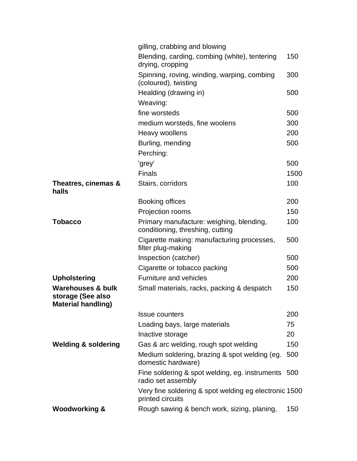|                                                                                | gilling, crabbing and blowing                                                |      |
|--------------------------------------------------------------------------------|------------------------------------------------------------------------------|------|
|                                                                                | Blending, carding, combing (white), tentering<br>drying, cropping            | 150  |
|                                                                                | Spinning, roving, winding, warping, combing<br>(coloured), twisting          | 300  |
|                                                                                | Healding (drawing in)                                                        | 500  |
|                                                                                | Weaving:                                                                     |      |
|                                                                                | fine worsteds                                                                | 500  |
|                                                                                | medium worsteds, fine woolens                                                | 300  |
|                                                                                | Heavy woollens                                                               | 200  |
|                                                                                | Burling, mending                                                             | 500  |
|                                                                                | Perching:                                                                    |      |
|                                                                                | 'grey'                                                                       | 500  |
|                                                                                | <b>Finals</b>                                                                | 1500 |
| Theatres, cinemas &<br>halls                                                   | Stairs, corridors                                                            | 100  |
|                                                                                | <b>Booking offices</b>                                                       | 200  |
|                                                                                | Projection rooms                                                             | 150  |
| <b>Tobacco</b>                                                                 | Primary manufacture: weighing, blending,<br>conditioning, threshing, cutting | 100  |
|                                                                                | Cigarette making: manufacturing processes,<br>filter plug-making             | 500  |
|                                                                                | Inspection (catcher)                                                         | 500  |
|                                                                                | Cigarette or tobacco packing                                                 | 500  |
| <b>Upholstering</b>                                                            | <b>Furniture and vehicles</b>                                                | 200  |
| <b>Warehouses &amp; bulk</b><br>storage (See also<br><b>Material handling)</b> | Small materials, racks, packing & despatch                                   | 150  |
|                                                                                | <b>Issue counters</b>                                                        | 200  |
|                                                                                | Loading bays, large materials                                                | 75   |
|                                                                                | Inactive storage                                                             | 20   |
| <b>Welding &amp; soldering</b>                                                 | Gas & arc welding, rough spot welding                                        | 150  |
|                                                                                | Medium soldering, brazing & spot welding (eg.<br>domestic hardware)          | 500  |
|                                                                                | Fine soldering & spot welding, eg. instruments 500<br>radio set assembly     |      |
|                                                                                | Very fine soldering & spot welding eg electronic 1500<br>printed circuits    |      |
| <b>Woodworking &amp;</b>                                                       | Rough sawing & bench work, sizing, planing,                                  | 150  |
|                                                                                |                                                                              |      |